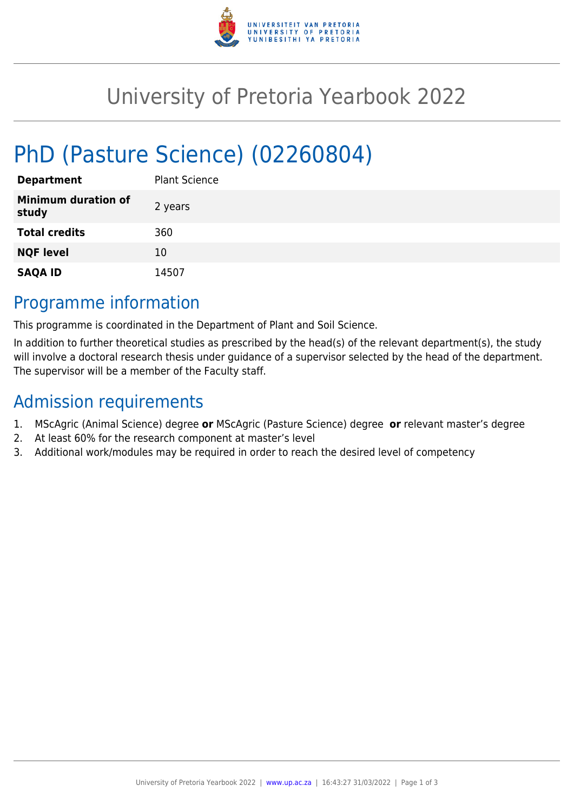

# University of Pretoria Yearbook 2022

# PhD (Pasture Science) (02260804)

| <b>Department</b>                   | <b>Plant Science</b> |
|-------------------------------------|----------------------|
| <b>Minimum duration of</b><br>study | 2 years              |
| <b>Total credits</b>                | 360                  |
| <b>NQF level</b>                    | 10                   |
| <b>SAQA ID</b>                      | 14507                |

### Programme information

This programme is coordinated in the Department of Plant and Soil Science.

In addition to further theoretical studies as prescribed by the head(s) of the relevant department(s), the study will involve a doctoral research thesis under guidance of a supervisor selected by the head of the department. The supervisor will be a member of the Faculty staff.

## Admission requirements

- 1. MScAgric (Animal Science) degree **or** MScAgric (Pasture Science) degree **or** relevant master's degree
- 2. At least 60% for the research component at master's level
- 3. Additional work/modules may be required in order to reach the desired level of competency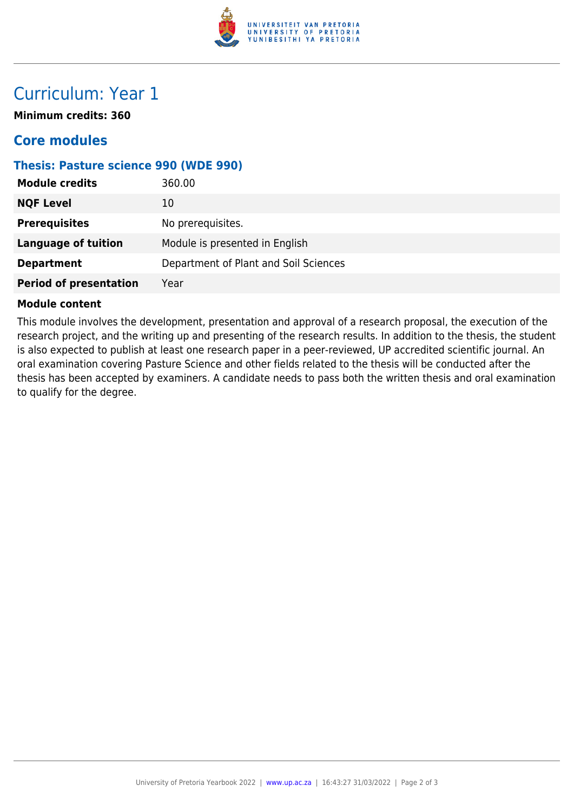

## Curriculum: Year 1

**Minimum credits: 360**

### **Core modules**

#### **Thesis: Pasture science 990 (WDE 990)**

| <b>Module credits</b>         | 360.00                                |
|-------------------------------|---------------------------------------|
| <b>NQF Level</b>              | 10                                    |
| <b>Prerequisites</b>          | No prerequisites.                     |
| <b>Language of tuition</b>    | Module is presented in English        |
| <b>Department</b>             | Department of Plant and Soil Sciences |
| <b>Period of presentation</b> | Year                                  |

#### **Module content**

This module involves the development, presentation and approval of a research proposal, the execution of the research project, and the writing up and presenting of the research results. In addition to the thesis, the student is also expected to publish at least one research paper in a peer-reviewed, UP accredited scientific journal. An oral examination covering Pasture Science and other fields related to the thesis will be conducted after the thesis has been accepted by examiners. A candidate needs to pass both the written thesis and oral examination to qualify for the degree.